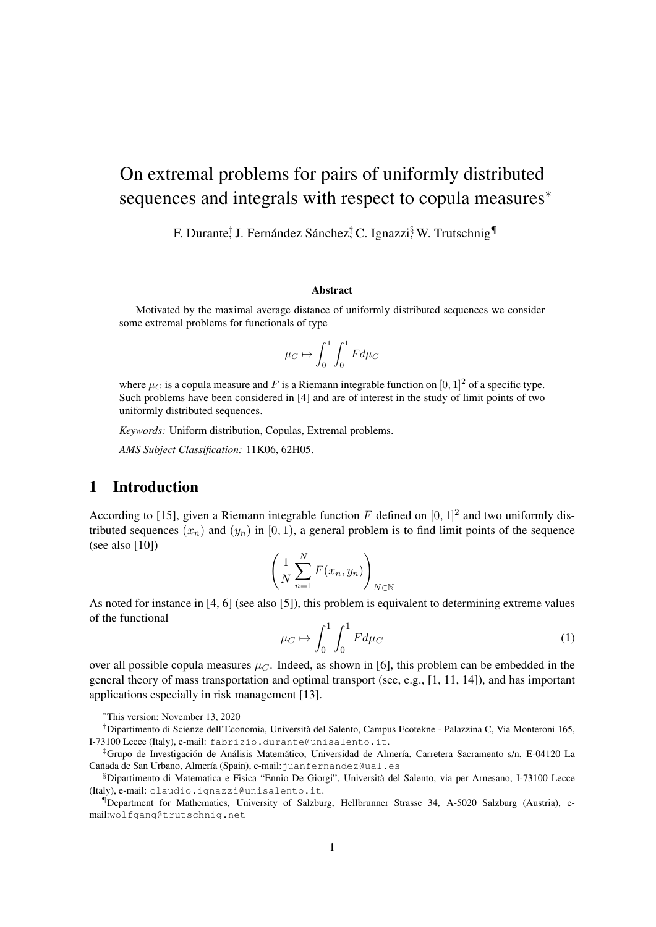# On extremal problems for pairs of uniformly distributed sequences and integrals with respect to copula measures<sup>\*</sup>

F. Durante, J. Fernández Sánchez, C. Ignazzi, W. Trutschnig

#### Abstract

Motivated by the maximal average distance of uniformly distributed sequences we consider some extremal problems for functionals of type

$$
\mu_C \mapsto \int_0^1 \int_0^1 F d\mu_C
$$

where  $\mu_C$  is a copula measure and F is a Riemann integrable function on [0, 1]<sup>2</sup> of a specific type. Such problems have been considered in [4] and are of interest in the study of limit points of two uniformly distributed sequences.

*Keywords:* Uniform distribution, Copulas, Extremal problems.

*AMS Subject Classification:* 11K06, 62H05.

### 1 Introduction

According to [15], given a Riemann integrable function F defined on  $[0, 1]^2$  and two uniformly distributed sequences  $(x_n)$  and  $(y_n)$  in  $[0, 1)$ , a general problem is to find limit points of the sequence (see also [10])

$$
\left(\frac{1}{N}\sum_{n=1}^{N}F(x_n,y_n)\right)_{N\in\mathbb{N}}
$$

As noted for instance in [4, 6] (see also [5]), this problem is equivalent to determining extreme values of the functional

$$
\mu_C \mapsto \int_0^1 \int_0^1 F d\mu_C \tag{1}
$$

over all possible copula measures  $\mu_C$ . Indeed, as shown in [6], this problem can be embedded in the general theory of mass transportation and optimal transport (see, e.g., [1, 11, 14]), and has important applications especially in risk management [13].

<sup>∗</sup>This version: November 13, 2020

<sup>†</sup>Dipartimento di Scienze dell'Economia, Universita del Salento, Campus Ecotekne - Palazzina C, Via Monteroni 165, ` I-73100 Lecce (Italy), e-mail: fabrizio.durante@unisalento.it.

 ${}^{\ddagger}$ Grupo de Investigación de Análisis Matemático, Universidad de Almería, Carretera Sacramento s/n, E-04120 La Cañada de San Urbano, Almería (Spain), e-mail: juanfernandez@ual.es

<sup>§</sup>Dipartimento di Matematica e Fisica "Ennio De Giorgi", Universita del Salento, via per Arnesano, I-73100 Lecce ` (Italy), e-mail: claudio.ignazzi@unisalento.it.

<sup>¶</sup>Department for Mathematics, University of Salzburg, Hellbrunner Strasse 34, A-5020 Salzburg (Austria), email:wolfgang@trutschnig.net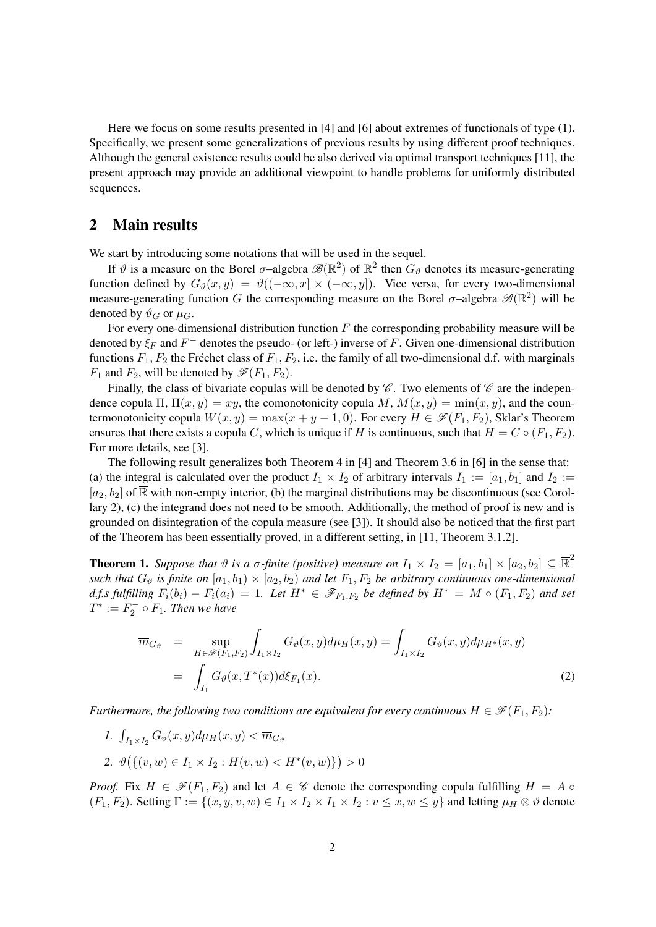Here we focus on some results presented in [4] and [6] about extremes of functionals of type (1). Specifically, we present some generalizations of previous results by using different proof techniques. Although the general existence results could be also derived via optimal transport techniques [11], the present approach may provide an additional viewpoint to handle problems for uniformly distributed sequences.

## 2 Main results

We start by introducing some notations that will be used in the sequel.

If  $\vartheta$  is a measure on the Borel  $\sigma$ -algebra  $\mathscr{B}(\mathbb{R}^2)$  of  $\mathbb{R}^2$  then  $G_{\vartheta}$  denotes its measure-generating function defined by  $G_{\vartheta}(x, y) = \vartheta((-\infty, x] \times (-\infty, y])$ . Vice versa, for every two-dimensional measure-generating function G the corresponding measure on the Borel  $\sigma$ -algebra  $\mathscr{B}(\mathbb{R}^2)$  will be denoted by  $\vartheta_G$  or  $\mu_G$ .

For every one-dimensional distribution function  $F$  the corresponding probability measure will be denoted by  $\xi_F$  and  $F^-$  denotes the pseudo- (or left-) inverse of F. Given one-dimensional distribution functions  $F_1, F_2$  the Fréchet class of  $F_1, F_2$ , i.e. the family of all two-dimensional d.f. with marginals  $F_1$  and  $F_2$ , will be denoted by  $\mathscr{F}(F_1, F_2)$ .

Finally, the class of bivariate copulas will be denoted by  $\mathscr C$ . Two elements of  $\mathscr C$  are the independence copula Π,  $\Pi(x, y) = xy$ , the comonotonicity copula M,  $M(x, y) = min(x, y)$ , and the countermonotonicity copula  $W(x, y) = \max(x + y - 1, 0)$ . For every  $H \in \mathscr{F}(F_1, F_2)$ , Sklar's Theorem ensures that there exists a copula C, which is unique if H is continuous, such that  $H = C \circ (F_1, F_2)$ . For more details, see [3].

The following result generalizes both Theorem 4 in [4] and Theorem 3.6 in [6] in the sense that: (a) the integral is calculated over the product  $I_1 \times I_2$  of arbitrary intervals  $I_1 := [a_1, b_1]$  and  $I_2 :=$  $[a_2, b_2]$  of  $\overline{\mathbb{R}}$  with non-empty interior, (b) the marginal distributions may be discontinuous (see Corollary 2), (c) the integrand does not need to be smooth. Additionally, the method of proof is new and is grounded on disintegration of the copula measure (see [3]). It should also be noticed that the first part of the Theorem has been essentially proved, in a different setting, in [11, Theorem 3.1.2].

**Theorem 1.** Suppose that  $\vartheta$  is a  $\sigma$ -finite (positive) measure on  $I_1 \times I_2 = [a_1, b_1] \times [a_2, b_2] \subseteq \overline{\mathbb{R}}^2$ *such that*  $G_{\vartheta}$  *is finite on*  $[a_1, b_1) \times (a_2, b_2)$  *and let*  $F_1, F_2$  *be arbitrary continuous one-dimensional d.f.s fulfilling*  $F_i(b_i) - F_i(a_i) = 1$ . Let  $H^* ∈ \mathscr{F}_{F_1,F_2}$  be defined by  $H^* = M ∘ (F_1, F_2)$  and set  $T^* := F_2^- \circ F_1$ . Then we have

$$
\overline{m}_{G_{\vartheta}} = \sup_{H \in \mathscr{F}(F_1, F_2)} \int_{I_1 \times I_2} G_{\vartheta}(x, y) d\mu_H(x, y) = \int_{I_1 \times I_2} G_{\vartheta}(x, y) d\mu_{H^*}(x, y)
$$
\n
$$
= \int_{I_1} G_{\vartheta}(x, T^*(x)) d\xi_{F_1}(x).
$$
\n(2)

*Furthermore, the following two conditions are equivalent for every continuous*  $H \in \mathcal{F}(F_1, F_2)$ *:* 

- *1.*  $\int_{I_1 \times I_2} G_{\vartheta}(x, y) d\mu_H(x, y) < \overline{m}_{G_{\vartheta}}$
- 2.  $\vartheta\big(\{(v, w) \in I_1 \times I_2 : H(v, w) < H^*(v, w)\}\big) > 0$

*Proof.* Fix  $H \in \mathscr{F}(F_1, F_2)$  and let  $A \in \mathscr{C}$  denote the corresponding copula fulfilling  $H = A \circ$  $(F_1, F_2)$ . Setting  $\Gamma := \{(x, y, v, w) \in I_1 \times I_2 \times I_1 \times I_2 : v \leq x, w \leq y\}$  and letting  $\mu_H \otimes \vartheta$  denote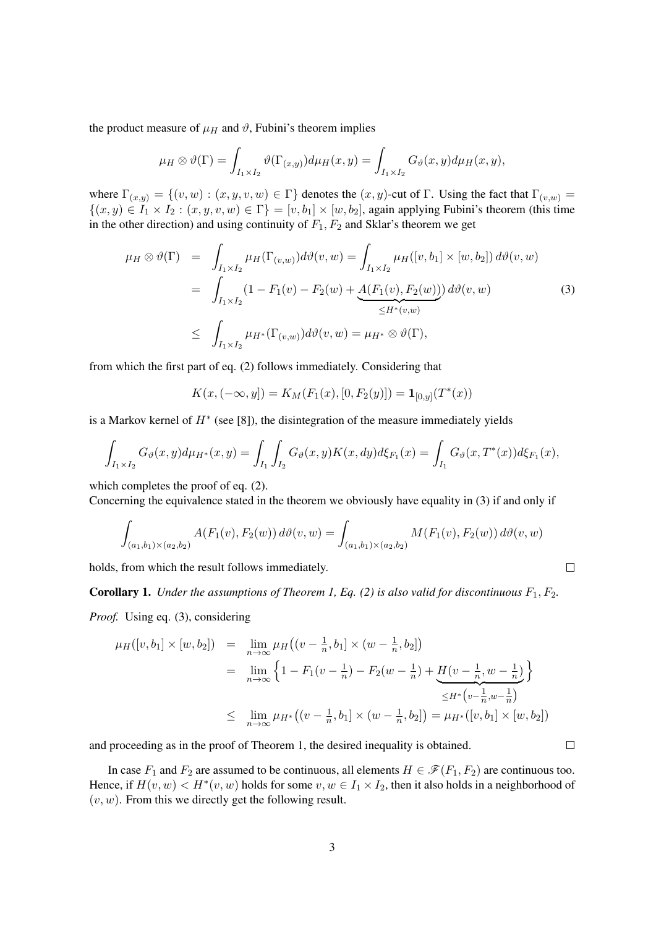the product measure of  $\mu_H$  and  $\vartheta$ , Fubini's theorem implies

$$
\mu_H \otimes \vartheta(\Gamma) = \int_{I_1 \times I_2} \vartheta(\Gamma_{(x,y)}) d\mu_H(x,y) = \int_{I_1 \times I_2} G_{\vartheta}(x,y) d\mu_H(x,y),
$$

where  $\Gamma_{(x,y)} = \{(v, w) : (x, y, v, w) \in \Gamma\}$  denotes the  $(x, y)$ -cut of Γ. Using the fact that  $\Gamma_{(v,w)} =$  ${(x,y) \in I_1 \times I_2 : (x,y,v,w) \in \Gamma} = [v, b_1] \times [w, b_2]$ , again applying Fubini's theorem (this time in the other direction) and using continuity of  $F_1, F_2$  and Sklar's theorem we get

$$
\mu_H \otimes \vartheta(\Gamma) = \int_{I_1 \times I_2} \mu_H(\Gamma_{(v,w)}) d\vartheta(v,w) = \int_{I_1 \times I_2} \mu_H([v, b_1] \times [w, b_2]) d\vartheta(v,w)
$$
  
= 
$$
\int_{I_1 \times I_2} (1 - F_1(v) - F_2(w) + \underbrace{A(F_1(v), F_2(w))}_{\leq H^*(v,w)}) d\vartheta(v,w)
$$
 (3)  

$$
\leq \int_{I_1 \times I_2} \mu_{H^*}(\Gamma_{(v,w)}) d\vartheta(v,w) = \mu_{H^*} \otimes \vartheta(\Gamma),
$$

from which the first part of eq. (2) follows immediately. Considering that

$$
K(x, (-\infty, y]) = K_M(F_1(x), [0, F_2(y)]) = \mathbf{1}_{[0,y]}(T^*(x))
$$

is a Markov kernel of  $H^*$  (see [8]), the disintegration of the measure immediately yields

$$
\int_{I_1 \times I_2} G_{\vartheta}(x, y) d\mu_{H^*}(x, y) = \int_{I_1} \int_{I_2} G_{\vartheta}(x, y) K(x, dy) d\xi_{F_1}(x) = \int_{I_1} G_{\vartheta}(x, T^*(x)) d\xi_{F_1}(x),
$$

which completes the proof of eq. (2).

Concerning the equivalence stated in the theorem we obviously have equality in (3) if and only if

$$
\int_{(a_1,b_1)\times(a_2,b_2)} A(F_1(v),F_2(w)) d\vartheta(v,w) = \int_{(a_1,b_1)\times(a_2,b_2)} M(F_1(v),F_2(w)) d\vartheta(v,w)
$$

 $\Box$ 

 $\Box$ 

holds, from which the result follows immediately.

**Corollary 1.** *Under the assumptions of Theorem 1, Eq. (2) is also valid for discontinuous*  $F_1, F_2$ .

*Proof.* Using eq. (3), considering

$$
\mu_H([v, b_1] \times [w, b_2]) = \lim_{n \to \infty} \mu_H((v - \frac{1}{n}, b_1] \times (w - \frac{1}{n}, b_2])
$$
  
\n
$$
= \lim_{n \to \infty} \left\{ 1 - F_1(v - \frac{1}{n}) - F_2(w - \frac{1}{n}) + \underbrace{H(v - \frac{1}{n}, w - \frac{1}{n})}_{\leq H^* \left(v - \frac{1}{n}, w - \frac{1}{n}\right)} \right\}
$$
  
\n
$$
\leq \lim_{n \to \infty} \mu_H^* \left( (v - \frac{1}{n}, b_1] \times (w - \frac{1}{n}, b_2] \right) = \mu_H^*([v, b_1] \times [w, b_2])
$$

and proceeding as in the proof of Theorem 1, the desired inequality is obtained.

In case  $F_1$  and  $F_2$  are assumed to be continuous, all elements  $H \in \mathcal{F}(F_1, F_2)$  are continuous too. Hence, if  $H(v, w) < H^*(v, w)$  holds for some  $v, w \in I_1 \times I_2$ , then it also holds in a neighborhood of  $(v, w)$ . From this we directly get the following result.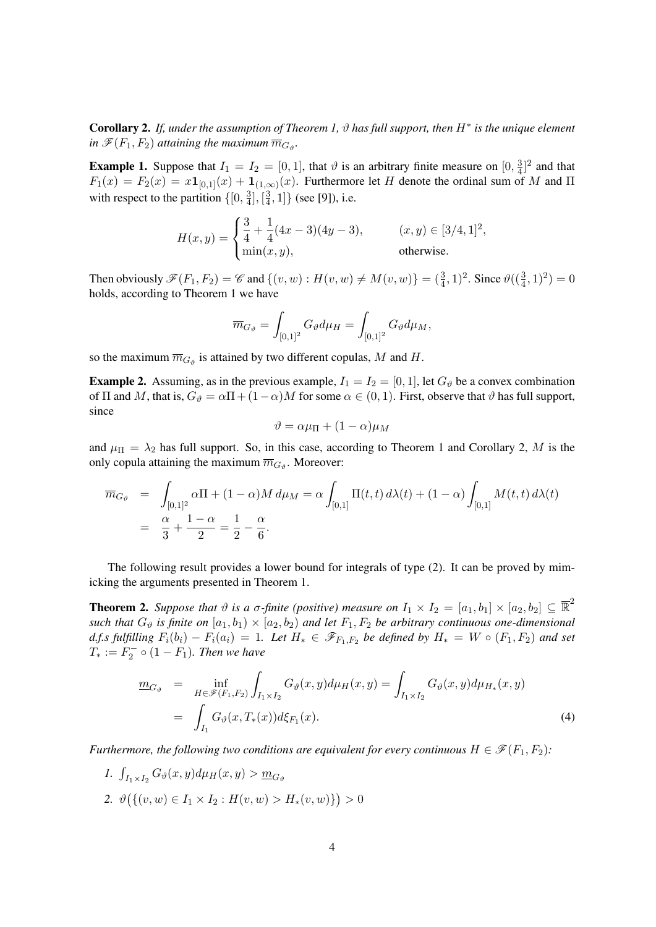Corollary 2. *If, under the assumption of Theorem 1,* ϑ *has full support, then* H<sup>∗</sup> *is the unique element* in  $\mathscr{F}(F_1,F_2)$  attaining the maximum  $\overline{m}_{G,\mathfrak{g}}$ .

**Example 1.** Suppose that  $I_1 = I_2 = [0, 1]$ , that  $\vartheta$  is an arbitrary finite measure on  $[0, \frac{3}{4}]$  $\frac{3}{4}$ ]<sup>2</sup> and that  $F_1(x) = F_2(x) = x \mathbf{1}_{[0,1]}(x) + \mathbf{1}_{(1,\infty)}(x)$ . Furthermore let H denote the ordinal sum of M and  $\Pi$ with respect to the partition  $\{[0, \frac{3}{4}$  $\frac{3}{4}$ ,  $\left[\frac{3}{4}\right]$  $\{ \frac{3}{4}, 1 \}$  (see [9]), i.e.

$$
H(x,y) = \begin{cases} \frac{3}{4} + \frac{1}{4}(4x-3)(4y-3), & (x,y) \in [3/4,1]^2, \\ \min(x,y), & \text{otherwise.} \end{cases}
$$

Then obviously  $\mathscr{F}(F_1, F_2) = \mathscr{C}$  and  $\{(v, w) : H(v, w) \neq M(v, w)\} = (\frac{3}{4}, 1)^2$ . Since  $\vartheta((\frac{3}{4}, 1)^2) = 0$ holds, according to Theorem 1 we have

$$
\overline{m}_{G_{\vartheta}} = \int_{[0,1]^2} G_{\vartheta} d\mu_H = \int_{[0,1]^2} G_{\vartheta} d\mu_M,
$$

so the maximum  $\overline{m}_{G_{\vartheta}}$  is attained by two different copulas, M and H.

**Example 2.** Assuming, as in the previous example,  $I_1 = I_2 = [0, 1]$ , let  $G_{\theta}$  be a convex combination of  $\Pi$  and M, that is,  $G_{\vartheta} = \alpha \Pi + (1 - \alpha)M$  for some  $\alpha \in (0, 1)$ . First, observe that  $\vartheta$  has full support, since

$$
\vartheta = \alpha \mu_{\Pi} + (1 - \alpha) \mu_M
$$

and  $\mu_{\Pi} = \lambda_2$  has full support. So, in this case, according to Theorem 1 and Corollary 2, M is the only copula attaining the maximum  $\overline{m}_{G_{\vartheta}}$ . Moreover:

$$
\overline{m}_{G_{\vartheta}} = \int_{[0,1]^2} \alpha \Pi + (1 - \alpha) M \, d\mu_M = \alpha \int_{[0,1]} \Pi(t,t) \, d\lambda(t) + (1 - \alpha) \int_{[0,1]} M(t,t) \, d\lambda(t)
$$
\n
$$
= \frac{\alpha}{3} + \frac{1 - \alpha}{2} = \frac{1}{2} - \frac{\alpha}{6}.
$$

The following result provides a lower bound for integrals of type (2). It can be proved by mimicking the arguments presented in Theorem 1.

**Theorem 2.** Suppose that  $\vartheta$  is a  $\sigma$ -finite (positive) measure on  $I_1 \times I_2 = [a_1, b_1] \times [a_2, b_2] \subseteq \overline{\mathbb{R}}^2$ *such that*  $G_{\vartheta}$  *is finite on*  $[a_1, b_1) \times (a_2, b_2)$  *and let*  $F_1, F_2$  *be arbitrary continuous one-dimensional* d.f.s fulfilling  $F_i(b_i) - F_i(a_i) = 1$ . Let  $H_* \in \mathscr{F}_{F_1,F_2}$  be defined by  $H_* = W \circ (F_1, F_2)$  and set  $T_* := F_2^- \circ (1 - F_1)$ *. Then we have* 

$$
\underline{m}_{G_{\vartheta}} = \inf_{H \in \mathscr{F}(F_1, F_2)} \int_{I_1 \times I_2} G_{\vartheta}(x, y) d\mu_H(x, y) = \int_{I_1 \times I_2} G_{\vartheta}(x, y) d\mu_{H_*}(x, y)
$$
\n
$$
= \int_{I_1} G_{\vartheta}(x, T_*(x)) d\xi_{F_1}(x).
$$
\n(4)

*Furthermore, the following two conditions are equivalent for every continuous*  $H \in \mathcal{F}(F_1, F_2)$ *:* 

- *1.*  $\int_{I_1 \times I_2} G_{\vartheta}(x, y) d\mu_H(x, y) > \underline{m}_{G_{\vartheta}}$
- 2.  $\vartheta\big(\{(v, w) \in I_1 \times I_2 : H(v, w) > H_*(v, w)\}\big) > 0$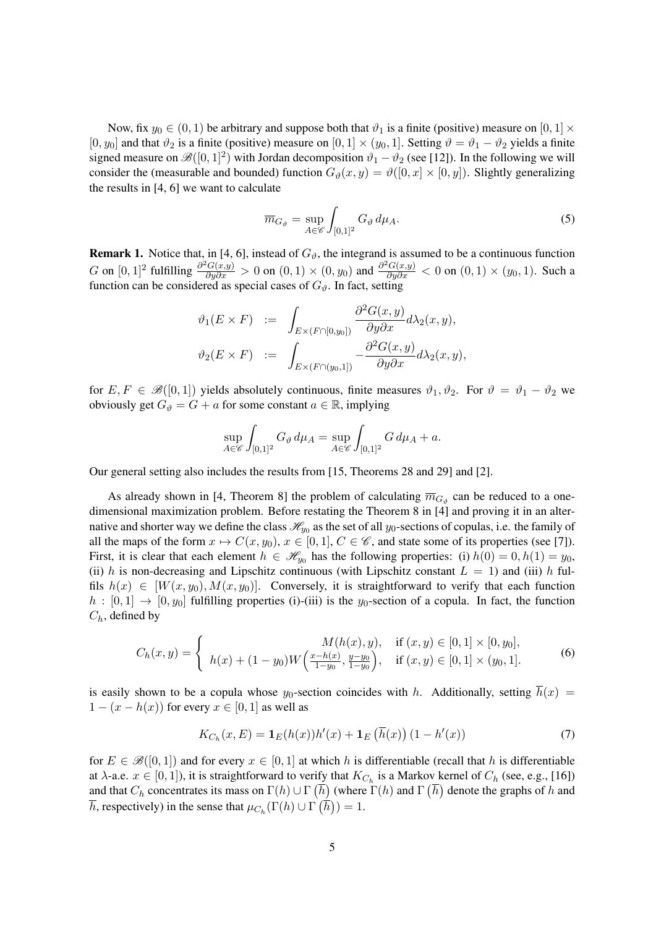Now, fix  $y_0 \in (0, 1)$  be arbitrary and suppose both that  $\vartheta_1$  is a finite (positive) measure on  $[0, 1] \times$ [0, y<sub>0</sub>] and that  $\vartheta_2$  is a finite (positive) measure on [0, 1] × (y<sub>0</sub>, 1]. Setting  $\vartheta = \vartheta_1 - \vartheta_2$  yields a finite signed measure on  $\mathscr{B}([0,1]^2)$  with Jordan decomposition  $\vartheta_1 - \vartheta_2$  (see [12]). In the following we will consider the (measurable and bounded) function  $G_{\theta}(x, y) = \theta([0, x] \times [0, y])$ . Slightly generalizing the results in [4, 6] we want to calculate

$$
\overline{m}_{G_{\vartheta}} = \sup_{A \in \mathscr{C}} \int_{[0,1]^2} G_{\vartheta} \, d\mu_A. \tag{5}
$$

**Remark 1.** Notice that, in [4, 6], instead of  $G_{\vartheta}$ , the integrand is assumed to be a continuous function G on  $[0,1]^2$  fulfilling  $\frac{\partial^2 G(x,y)}{\partial y \partial x} > 0$  on  $(0,1) \times (0, y_0)$  and  $\frac{\partial^2 G(x,y)}{\partial y \partial x} < 0$  on  $(0,1) \times (y_0, 1)$ . Such a function can be considered as special cases of  $G_{\vartheta}$ . In fact, setting

$$
\vartheta_1(E \times F) := \int_{E \times (F \cap [0,y_0])} \frac{\partial^2 G(x,y)}{\partial y \partial x} d\lambda_2(x,y),
$$
  

$$
\vartheta_2(E \times F) := \int_{E \times (F \cap (y_0,1])} -\frac{\partial^2 G(x,y)}{\partial y \partial x} d\lambda_2(x,y),
$$

for  $E, F \in \mathscr{B}([0,1])$  yields absolutely continuous, finite measures  $\vartheta_1, \vartheta_2$ . For  $\vartheta = \vartheta_1 - \vartheta_2$  we obviously get  $G_{\vartheta} = G + a$  for some constant  $a \in \mathbb{R}$ , implying

$$
\sup_{A \in \mathscr{C}} \int_{[0,1]^2} G_{\vartheta} \, d\mu_A = \sup_{A \in \mathscr{C}} \int_{[0,1]^2} G \, d\mu_A + a.
$$

Our general setting also includes the results from [15, Theorems 28 and 29] and [2].

As already shown in [4, Theorem 8] the problem of calculating  $\overline{m}_{G_{\vartheta}}$  can be reduced to a onedimensional maximization problem. Before restating the Theorem 8 in [4] and proving it in an alternative and shorter way we define the class  $\mathcal{H}_{y_0}$  as the set of all  $y_0$ -sections of copulas, i.e. the family of all the maps of the form  $x \mapsto C(x, y_0), x \in [0, 1], C \in \mathscr{C}$ , and state some of its properties (see [7]). First, it is clear that each element  $h \in \mathcal{H}_{y_0}$  has the following properties: (i)  $h(0) = 0, h(1) = y_0$ , (ii) h is non-decreasing and Lipschitz continuous (with Lipschitz constant  $L = 1$ ) and (iii) h fulfils  $h(x) \in [W(x, y_0), M(x, y_0)]$ . Conversely, it is straightforward to verify that each function  $h : [0,1] \rightarrow [0,y_0]$  fulfilling properties (i)-(iii) is the y<sub>0</sub>-section of a copula. In fact, the function  $C_h$ , defined by

$$
C_h(x,y) = \begin{cases} M(h(x),y), & \text{if } (x,y) \in [0,1] \times [0,y_0], \\ h(x) + (1-y_0)W\left(\frac{x-h(x)}{1-y_0}, \frac{y-y_0}{1-y_0}\right), & \text{if } (x,y) \in [0,1] \times (y_0,1]. \end{cases}
$$
(6)

is easily shown to be a copula whose  $y_0$ -section coincides with h. Additionally, setting  $\overline{h}(x)$  =  $1 - (x - h(x))$  for every  $x \in [0, 1]$  as well as

$$
K_{C_h}(x, E) = \mathbf{1}_E(h(x))h'(x) + \mathbf{1}_E(\overline{h}(x)) (1 - h'(x))
$$
\n(7)

for  $E \in \mathscr{B}([0,1])$  and for every  $x \in [0,1]$  at which h is differentiable (recall that h is differentiable at  $\lambda$ -a.e.  $x \in [0,1]$ ), it is straightforward to verify that  $K_{C_h}$  is a Markov kernel of  $C_h$  (see, e.g., [16]) and that  $C_h$  concentrates its mass on  $\Gamma(h) \cup \Gamma(\overline{h})$  (where  $\Gamma(h)$  and  $\Gamma(\overline{h})$  denote the graphs of h and  $\overline{h}$ , respectively) in the sense that  $\mu_{C_h}(\Gamma(h) \cup \Gamma(\overline{h})) = 1$ .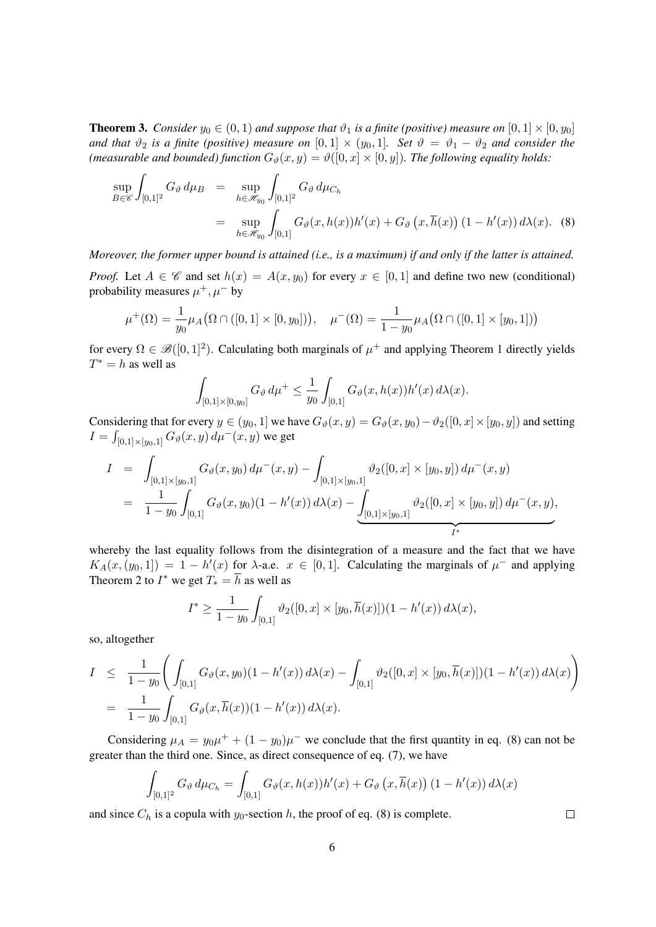**Theorem 3.** *Consider*  $y_0 \in (0, 1)$  *and suppose that*  $\vartheta_1$  *is a finite (positive) measure on*  $[0, 1] \times [0, y_0]$ *and that*  $\vartheta_2$  *is a finite (positive) measure on* [0, 1] × ( $y_0$ , 1]*. Set*  $\vartheta = \vartheta_1 - \vartheta_2$  *and consider the (measurable and bounded) function*  $G_{\vartheta}(x, y) = \vartheta([0, x] \times [0, y])$ *. The following equality holds:* 

$$
\sup_{B \in \mathscr{C}} \int_{[0,1]^2} G_{\vartheta} d\mu_B = \sup_{h \in \mathscr{H}_{y_0}} \int_{[0,1]^2} G_{\vartheta} d\mu_{C_h}
$$
  
= 
$$
\sup_{h \in \mathscr{H}_{y_0}} \int_{[0,1]} G_{\vartheta}(x, h(x)) h'(x) + G_{\vartheta}(x, \overline{h}(x)) (1 - h'(x)) d\lambda(x).
$$
 (8)

*Moreover, the former upper bound is attained (i.e., is a maximum) if and only if the latter is attained.*

*Proof.* Let  $A \in \mathscr{C}$  and set  $h(x) = A(x, y_0)$  for every  $x \in [0, 1]$  and define two new (conditional) probability measures  $\mu^+, \mu^-$  by

$$
\mu^+(\Omega) = \frac{1}{y_0} \mu_A(\Omega \cap ([0,1] \times [0,y_0]))
$$
\n
$$
\mu^-(\Omega) = \frac{1}{1 - y_0} \mu_A(\Omega \cap ([0,1] \times [y_0,1]))
$$

for every  $\Omega \in \mathscr{B}([0,1]^2)$ . Calculating both marginals of  $\mu^+$  and applying Theorem 1 directly yields  $T^* = h$  as well as

$$
\int_{[0,1] \times [0,y_0]} G_{\vartheta} d\mu^+ \leq \frac{1}{y_0} \int_{[0,1]} G_{\vartheta}(x,h(x)) h'(x) d\lambda(x).
$$

Considering that for every  $y \in (y_0, 1]$  we have  $G_\vartheta(x, y) = G_\vartheta(x, y_0) - \vartheta_2([0, x] \times [y_0, y])$  and setting  $I = \int_{[0,1] \times [y_0,1]} G_{\vartheta}(x,y) \, d\mu^-(x,y)$  we get

$$
I = \int_{[0,1] \times [y_0,1]} G_{\vartheta}(x,y_0) d\mu^-(x,y) - \int_{[0,1] \times [y_0,1]} \vartheta_2([0,x] \times [y_0,y]) d\mu^-(x,y)
$$
  
= 
$$
\frac{1}{1-y_0} \int_{[0,1]} G_{\vartheta}(x,y_0) (1-h'(x)) d\lambda(x) - \underbrace{\int_{[0,1] \times [y_0,1]} \vartheta_2([0,x] \times [y_0,y]) d\mu^-(x,y)}_{I^*},
$$

whereby the last equality follows from the disintegration of a measure and the fact that we have  $K_A(x,(y_0,1]) = 1 - h'(x)$  for  $\lambda$ -a.e.  $x \in [0,1]$ . Calculating the marginals of  $\mu^-$  and applying Theorem 2 to  $I^*$  we get  $T_* = \overline{h}$  as well as

$$
I^* \ge \frac{1}{1-y_0} \int_{[0,1]} \vartheta_2([0,x] \times [y_0, \overline{h}(x)])(1-h'(x)) d\lambda(x),
$$

so, altogether

$$
I \leq \frac{1}{1-y_0} \left( \int_{[0,1]} G_{\vartheta}(x, y_0)(1 - h'(x)) d\lambda(x) - \int_{[0,1]} \vartheta_2([0, x] \times [y_0, \overline{h}(x)])(1 - h'(x)) d\lambda(x) \right)
$$
  
= 
$$
\frac{1}{1-y_0} \int_{[0,1]} G_{\vartheta}(x, \overline{h}(x))(1 - h'(x)) d\lambda(x).
$$

Considering  $\mu_A = y_0 \mu^+ + (1 - y_0) \mu^-$  we conclude that the first quantity in eq. (8) can not be greater than the third one. Since, as direct consequence of eq. (7), we have

$$
\int_{[0,1]^2} G_{\vartheta} d\mu_{C_h} = \int_{[0,1]} G_{\vartheta}(x,h(x))h'(x) + G_{\vartheta}\left(x,\overline{h}(x)\right)\left(1-h'(x)\right) d\lambda(x)
$$

and since  $C_h$  is a copula with  $y_0$ -section h, the proof of eq. (8) is complete.

 $\Box$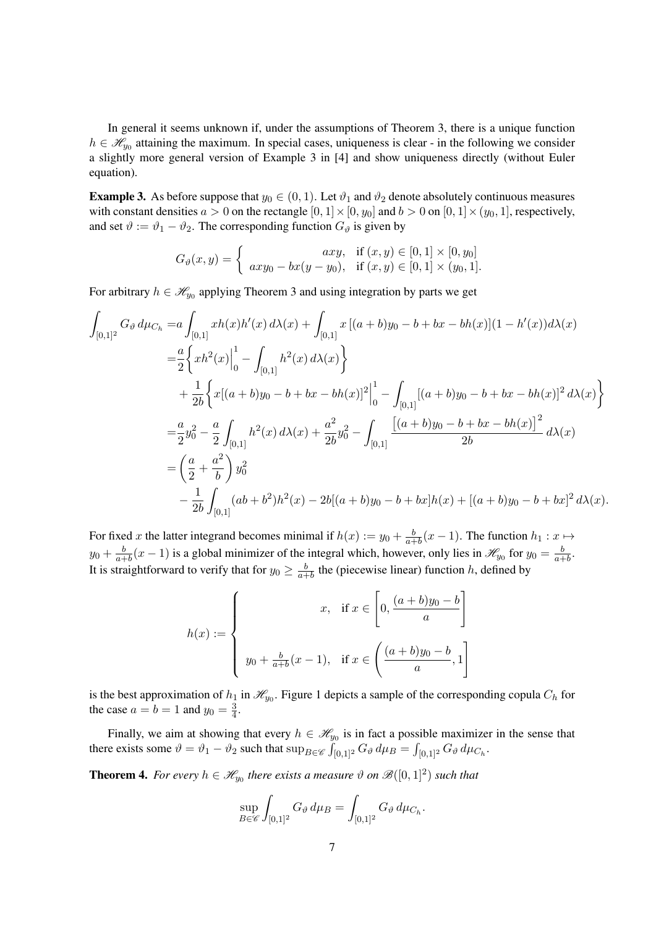In general it seems unknown if, under the assumptions of Theorem 3, there is a unique function  $h \in \mathcal{H}_{y_0}$  attaining the maximum. In special cases, uniqueness is clear - in the following we consider a slightly more general version of Example 3 in [4] and show uniqueness directly (without Euler equation).

**Example 3.** As before suppose that  $y_0 \in (0, 1)$ . Let  $\vartheta_1$  and  $\vartheta_2$  denote absolutely continuous measures with constant densities  $a > 0$  on the rectangle  $[0, 1] \times [0, y_0]$  and  $b > 0$  on  $[0, 1] \times (y_0, 1]$ , respectively, and set  $\vartheta := \vartheta_1 - \vartheta_2$ . The corresponding function  $G_{\vartheta}$  is given by

$$
G_{\vartheta}(x,y) = \begin{cases} \quad axy, & \text{if } (x,y) \in [0,1] \times [0,y_0] \\ axy_0 - bx(y - y_0), & \text{if } (x,y) \in [0,1] \times (y_0,1]. \end{cases}
$$

For arbitrary  $h \in \mathcal{H}_{y_0}$  applying Theorem 3 and using integration by parts we get

$$
\int_{[0,1]^2} G_{\vartheta} d\mu_{C_h} = a \int_{[0,1]} xh(x)h'(x) d\lambda(x) + \int_{[0,1]} x [(a+b)y_0 - b + bx - bh(x)](1 - h'(x))d\lambda(x)
$$
  
\n
$$
= \frac{a}{2} \Biggl\{ xh^2(x) \Big|_0^1 - \int_{[0,1]} h^2(x) d\lambda(x) \Biggr\}
$$
  
\n
$$
+ \frac{1}{2b} \Biggl\{ x[(a+b)y_0 - b + bx - bh(x)]^2 \Big|_0^1 - \int_{[0,1]} [(a+b)y_0 - b + bx - bh(x)]^2 d\lambda(x) \Biggr\}
$$
  
\n
$$
= \frac{a}{2} y_0^2 - \frac{a}{2} \int_{[0,1]} h^2(x) d\lambda(x) + \frac{a^2}{2b} y_0^2 - \int_{[0,1]} \frac{[(a+b)y_0 - b + bx - bh(x)]^2}{2b} d\lambda(x)
$$
  
\n
$$
= \left(\frac{a}{2} + \frac{a^2}{b}\right) y_0^2
$$
  
\n
$$
- \frac{1}{2b} \int_{[0,1]} (ab + b^2)h^2(x) - 2b[(a+b)y_0 - b + bx]h(x) + [(a+b)y_0 - b + bx]^2 d\lambda(x).
$$

For fixed x the latter integrand becomes minimal if  $h(x) := y_0 + \frac{b}{a+1}$  $\frac{b}{a+b}(x-1)$ . The function  $h_1: x \mapsto$  $y_0 + \frac{b}{a^+}$  $\frac{b}{a+b}(x-1)$  is a global minimizer of the integral which, however, only lies in  $\mathscr{H}_{y_0}$  for  $y_0 = \frac{b}{a+b}$  $rac{b}{a+b}$ . It is straightforward to verify that for  $y_0 \geq \frac{b}{a+1}$  $\frac{b}{a+b}$  the (piecewise linear) function h, defined by

$$
h(x) := \begin{cases} x, & \text{if } x \in \left[0, \frac{(a+b)y_0 - b}{a}\right] \\ y_0 + \frac{b}{a+b}(x-1), & \text{if } x \in \left(\frac{(a+b)y_0 - b}{a}, 1\right] \end{cases}
$$

is the best approximation of  $h_1$  in  $\mathcal{H}_{y_0}$ . Figure 1 depicts a sample of the corresponding copula  $C_h$  for the case  $a = b = 1$  and  $y_0 = \frac{3}{4}$  $\frac{3}{4}$ .

Finally, we aim at showing that every  $h \in \mathcal{H}_{y_0}$  is in fact a possible maximizer in the sense that there exists some  $\vartheta = \vartheta_1 - \vartheta_2$  such that  $\sup_{B \in \mathscr{C}} \int_{[0,1]^2} G_\vartheta \, d\mu_B = \int_{[0,1]^2} G_\vartheta \, d\mu_{C_h}$ .

**Theorem 4.** For every  $h \in \mathcal{H}_{y_0}$  there exists a measure  $\vartheta$  on  $\mathcal{B}([0,1]^2)$  such that

$$
\sup_{B\in\mathscr{C}}\int_{[0,1]^2}G_\vartheta\,d\mu_B=\int_{[0,1]^2}G_\vartheta\,d\mu_{C_h}.
$$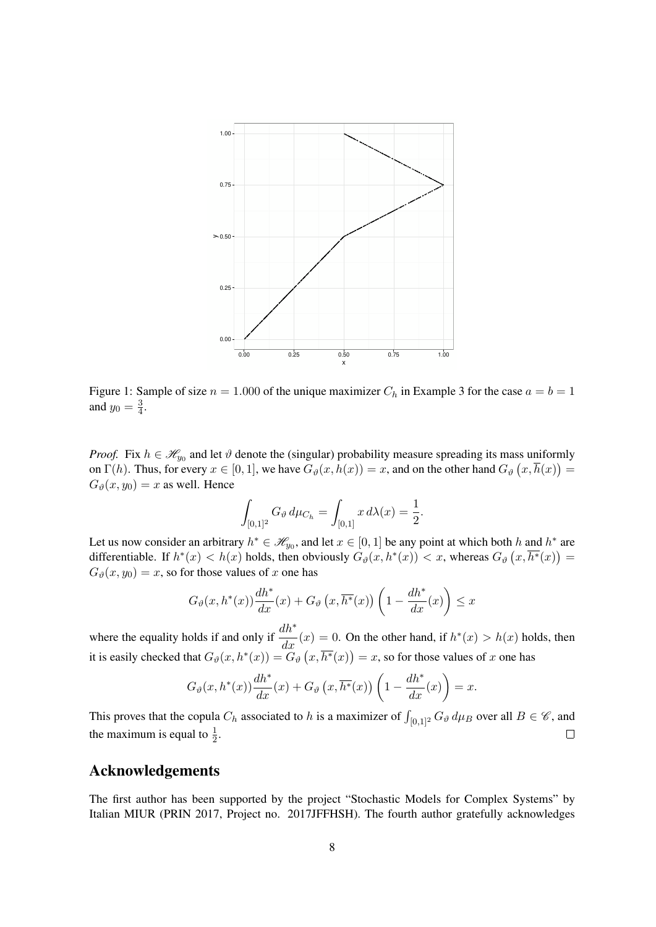

Figure 1: Sample of size  $n = 1.000$  of the unique maximizer  $C_h$  in Example 3 for the case  $a = b = 1$ and  $y_0 = \frac{3}{4}$  $\frac{3}{4}$ .

*Proof.* Fix  $h \in \mathcal{H}_{y_0}$  and let  $\vartheta$  denote the (singular) probability measure spreading its mass uniformly on  $\Gamma(h)$ . Thus, for every  $x \in [0,1]$ , we have  $G_{\vartheta}(x, h(x)) = x$ , and on the other hand  $G_{\vartheta}(x, \overline{h}(x)) = x$  $G_{\vartheta}(x, y_0) = x$  as well. Hence

$$
\int_{[0,1]^2} G_{\vartheta} d\mu_{C_h} = \int_{[0,1]} x d\lambda(x) = \frac{1}{2}.
$$

Let us now consider an arbitrary  $h^* \in \mathcal{H}_{y_0}$ , and let  $x \in [0, 1]$  be any point at which both h and  $h^*$  are differentiable. If  $h^*(x) < h(x)$  holds, then obviously  $G_\vartheta(x, h^*(x)) < x$ , whereas  $G_\vartheta(x, \overline{h^*}(x)) =$  $G_{\vartheta}(x, y_0) = x$ , so for those values of x one has

$$
G_{\vartheta}(x, h^*(x))\frac{dh^*}{dx}(x) + G_{\vartheta}\left(x, \overline{h^*}(x)\right)\left(1 - \frac{dh^*}{dx}(x)\right) \le x
$$

where the equality holds if and only if  $\frac{dh^*}{dx}(x) = 0$ . On the other hand, if  $h^*(x) > h(x)$  holds, then it is easily checked that  $G_{\theta}(x, h^*(x)) = G_{\theta}(x, \overline{h^*}(x)) = x$ , so for those values of x one has

$$
G_{\vartheta}(x, h^*(x))\frac{dh^*}{dx}(x) + G_{\vartheta}\left(x, \overline{h^*}(x)\right)\left(1 - \frac{dh^*}{dx}(x)\right) = x.
$$

This proves that the copula  $C_h$  associated to h is a maximizer of  $\int_{[0,1]^2} G_{\vartheta} d\mu_B$  over all  $B \in \mathscr{C}$ , and the maximum is equal to  $\frac{1}{2}$ .  $\Box$ 

# Acknowledgements

The first author has been supported by the project "Stochastic Models for Complex Systems" by Italian MIUR (PRIN 2017, Project no. 2017JFFHSH). The fourth author gratefully acknowledges